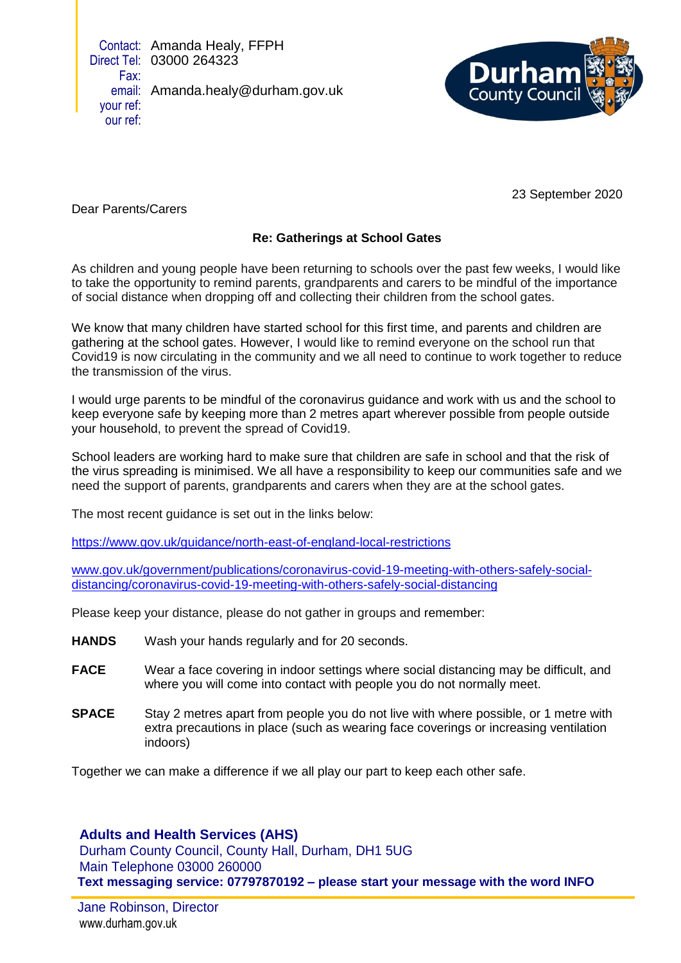Contact: Amanda Healy, FFPH Direct Tel: 03000 264323 Fax: email: Amanda.healy@durham.gov.uk your ref: our ref:



23 September 2020

Dear Parents/Carers

## **Re: Gatherings at School Gates**

As children and young people have been returning to schools over the past few weeks, I would like to take the opportunity to remind parents, grandparents and carers to be mindful of the importance of social distance when dropping off and collecting their children from the school gates.

We know that many children have started school for this first time, and parents and children are gathering at the school gates. However, I would like to remind everyone on the school run that Covid19 is now circulating in the community and we all need to continue to work together to reduce the transmission of the virus.

I would urge parents to be mindful of the coronavirus guidance and work with us and the school to keep everyone safe by keeping more than 2 metres apart wherever possible from people outside your household, to prevent the spread of Covid19.

School leaders are working hard to make sure that children are safe in school and that the risk of the virus spreading is minimised. We all have a responsibility to keep our communities safe and we need the support of parents, grandparents and carers when they are at the school gates.

The most recent guidance is set out in the links below:

<https://www.gov.uk/guidance/north-east-of-england-local-restrictions>

[www.gov.uk/government/publications/coronavirus-covid-19-meeting-with-others-safely-social](http://www.gov.uk/government/publications/coronavirus-covid-19-meeting-with-others-safely-social-distancing/coronavirus-covid-19-meeting-with-others-safely-social-distancing)[distancing/coronavirus-covid-19-meeting-with-others-safely-social-distancing](http://www.gov.uk/government/publications/coronavirus-covid-19-meeting-with-others-safely-social-distancing/coronavirus-covid-19-meeting-with-others-safely-social-distancing)

Please keep your distance, please do not gather in groups and remember:

- **HANDS** Wash your hands regularly and for 20 seconds.
- **FACE** Wear a face covering in indoor settings where social distancing may be difficult, and where you will come into contact with people you do not normally meet.
- **SPACE** Stay 2 metres apart from people you do not live with where possible, or 1 metre with extra precautions in place (such as wearing face coverings or increasing ventilation indoors)

Together we can make a difference if we all play our part to keep each other safe.

**Adults and Health Services (AHS)**

Durham County Council, County Hall, Durham, DH1 5UG Main Telephone 03000 260000 **Text messaging service: 07797870192 – please start your message with the word INFO**